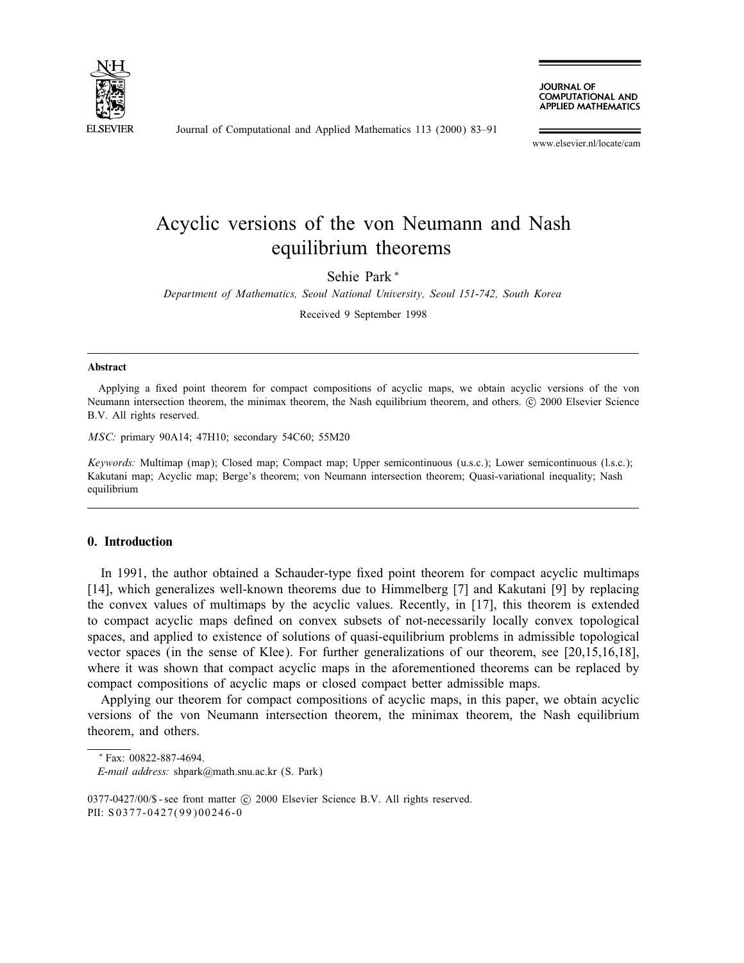

Journal of Computational and Applied Mathematics 113 (2000) 83–91

**JOURNAL OF COMPUTATIONAL AND APPLIED MATHEMATICS** 

www.elsevier.nl/locate/cam

# Acyclic versions of the von Neumann and Nash equilibrium theorems

Sehie Park <sup>∗</sup>

Department of Mathematics, Seoul National University, Seoul 151-742, South Korea

Received 9 September 1998

#### Abstract

Applying a fixed point theorem for compact compositions of acyclic maps, we obtain acyclic versions of the von Neumann intersection theorem, the minimax theorem, the Nash equilibrium theorem, and others. © 2000 Elsevier Science B.V. All rights reserved.

MSC: primary 90A14; 47H10; secondary 54C60; 55M20

Keywords: Multimap (map); Closed map; Compact map; Upper semicontinuous (u.s.c.); Lower semicontinuous (l.s.c.); Kakutani map; Acyclic map; Berge's theorem; von Neumann intersection theorem; Quasi-variational inequality; Nash equilibrium

## 0. Introduction

In 1991, the author obtained a Schauder-type fixed point theorem for compact acyclic multimaps [14], which generalizes well-known theorems due to Himmelberg [7] and Kakutani [9] by replacing the convex values of multimaps by the acyclic values. Recently, in [17], this theorem is extended to compact acyclic maps defined on convex subsets of not-necessarily locally convex topological spaces, and applied to existence of solutions of quasi-equilibrium problems in admissible topological vector spaces (in the sense of Klee). For further generalizations of our theorem, see [20,15,16,18], where it was shown that compact acyclic maps in the aforementioned theorems can be replaced by compact compositions of acyclic maps or closed compact better admissible maps.

Applying our theorem for compact compositions of acyclic maps, in this paper, we obtain acyclic versions of the von Neumann intersection theorem, the minimax theorem, the Nash equilibrium theorem, and others.

<sup>∗</sup> Fax: 00822-887-4694.

E-mail address: shpark@math.snu.ac.kr (S. Park)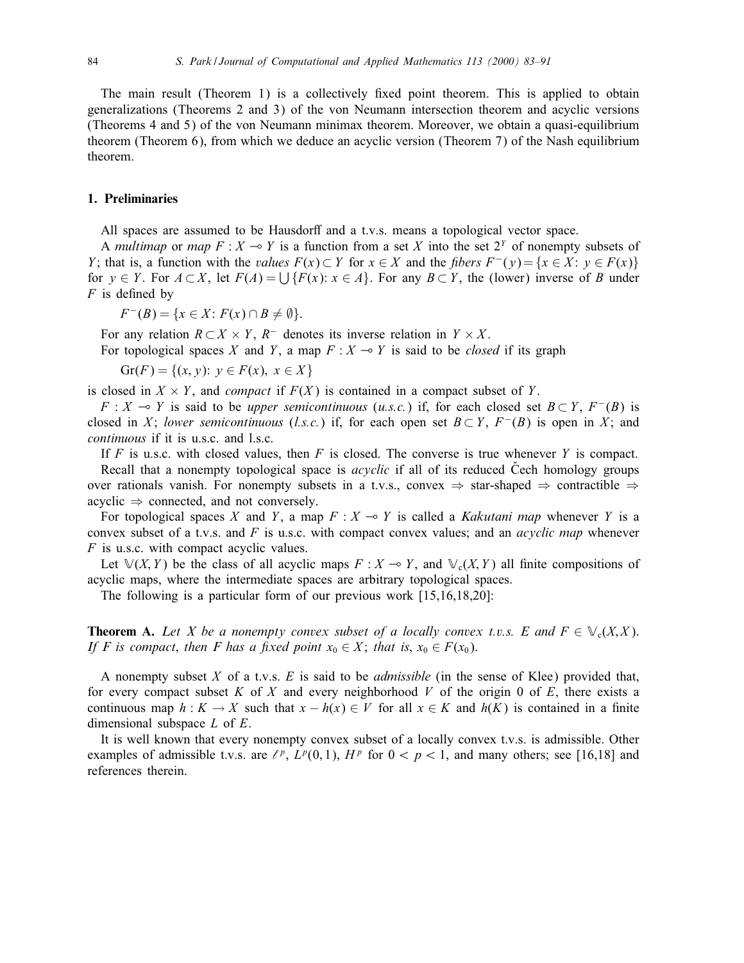The main result (Theorem 1) is a collectively fixed point theorem. This is applied to obtain generalizations (Theorems 2 and 3) of the von Neumann intersection theorem and acyclic versions (Theorems 4 and 5) of the von Neumann minimax theorem. Moreover, we obtain a quasi-equilibrium theorem (Theorem 6), from which we deduce an acyclic version (Theorem 7) of the Nash equilibrium theorem.

## 1. Preliminaries

All spaces are assumed to be Hausdorff and a t.v.s. means a topological vector space.

A multimap or map  $F : X \to Y$  is a function from a set X into the set  $2^Y$  of nonempty subsets of Y; that is, a function with the *values*  $F(x) \subset Y$  for  $x \in X$  and the *fibers*  $F^{-}(y) = \{x \in X : y \in F(x)\}\$ for  $y \in Y$ . For  $A \subset X$ , let  $F(A) = \bigcup \{F(x): x \in A\}$ . For any  $B \subset Y$ , the (lower) inverse of B under  $F$  is defined by

 $F^{-}(B) = \{x \in X : F(x) \cap B \neq \emptyset\}.$ 

For any relation  $R \subset X \times Y$ ,  $R^-$  denotes its inverse relation in  $Y \times X$ .

For topological spaces X and Y, a map  $F : X \rightarrow Y$  is said to be *closed* if its graph

 $Gr(F) = \{(x, y): y \in F(x), x \in X\}$ 

is closed in  $X \times Y$ , and *compact* if  $F(X)$  is contained in a compact subset of Y.

 $F : X \multimap Y$  is said to be *upper semicontinuous* (u.s.c.) if, for each closed set  $B \subset Y$ ,  $F^{-}(B)$  is closed in X; lower semicontinuous (l.s.c.) if, for each open set  $B \subset Y$ ,  $F^{-}(B)$  is open in X; and continuous if it is u.s.c. and l.s.c.

If F is u.s.c. with closed values, then F is closed. The converse is true whenever Y is compact. Recall that a nonempty topological space is *acyclic* if all of its reduced Čech homology groups over rationals vanish. For nonempty subsets in a t.v.s., convex  $\Rightarrow$  star-shaped  $\Rightarrow$  contractible  $\Rightarrow$  $acyclic \Rightarrow connected, and not conversely.$ 

For topological spaces X and Y, a map  $F : X \to Y$  is called a *Kakutani map* whenever Y is a convex subset of a t.v.s. and  $F$  is u.s.c. with compact convex values; and an *acyclic map* whenever  $F$  is u.s.c. with compact acyclic values.

Let  $\mathbb{V}(X, Y)$  be the class of all acyclic maps  $F: X \to Y$ , and  $\mathbb{V}_c(X, Y)$  all finite compositions of acyclic maps, where the intermediate spaces are arbitrary topological spaces.

The following is a particular form of our previous work [15,16,18,20]:

**Theorem A.** Let X be a nonempty convex subset of a locally convex t.v.s. E and  $F \in \mathcal{V}_c(X,X)$ . If F is compact, then F has a fixed point  $x_0 \in X$ ; that is,  $x_0 \in F(x_0)$ .

A nonempty subset X of a t.v.s. E is said to be *admissible* (in the sense of Klee) provided that, for every compact subset K of X and every neighborhood V of the origin 0 of E, there exists a continuous map  $h: K \to X$  such that  $x - h(x) \in V$  for all  $x \in K$  and  $h(K)$  is contained in a finite dimensional subspace  $L$  of  $E$ .

It is well known that every nonempty convex subset of a locally convex t.v.s. is admissible. Other examples of admissible t.v.s. are  $\ell^p$ ,  $L^p(0, 1)$ ,  $H^p$  for  $0 < p < 1$ , and many others; see [16,18] and references therein.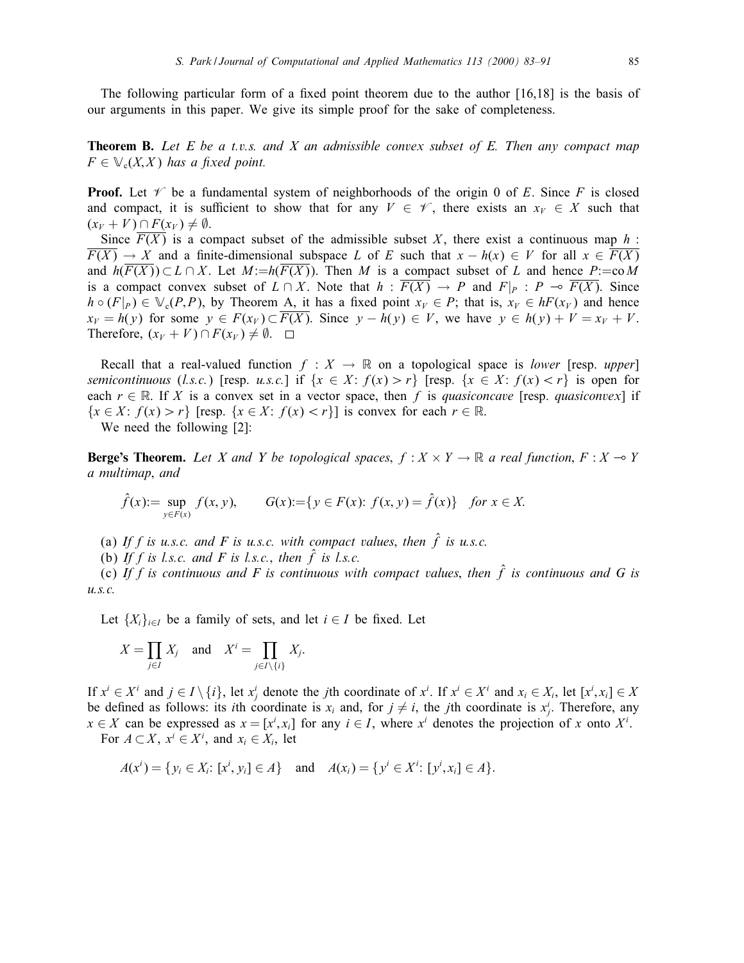The following particular form of a fixed point theorem due to the author  $[16,18]$  is the basis of our arguments in this paper. We give its simple proof for the sake of completeness.

**Theorem B.** Let E be a t.v.s. and X an admissible convex subset of E. Then any compact map  $F \in \mathbb{V}_c(X,X)$  has a fixed point.

**Proof.** Let  $\mathcal V$  be a fundamental system of neighborhoods of the origin 0 of E. Since F is closed and compact, it is sufficient to show that for any  $V \in \mathscr{V}$ , there exists an  $x_V \in X$  such that  $(x_V + V) \cap F(x_V) \neq \emptyset$ .

Since  $\overline{F(X)}$  is a compact subset of the admissible subset X, there exist a continuous map h:  $\overline{F(X)} \to X$  and a finite-dimensional subspace L of E such that  $x - h(x) \in V$  for all  $x \in \overline{F(X)}$ and  $h(\overline{F(X)}) \subset L \cap X$ . Let  $M:=h(\overline{F(X)})$ . Then M is a compact subset of L and hence P:=coM is a compact convex subset of  $L \cap X$ . Note that  $h : \overline{F(X)} \to P$  and  $F|_P : P \to \overline{F(X)}$ . Since  $h \circ (F|_P) \in V_c(P, P)$ , by Theorem A, it has a fixed point  $x_V \in P$ ; that is,  $x_V \in hF(x_V)$  and hence  $x_V = h(y)$  for some  $y \in F(x_V) \subset \overline{F(X)}$ . Since  $y - h(y) \in V$ , we have  $y \in h(y) + V = x_V + V$ . Therefore,  $(x_V + V) \cap F(x_V) \neq \emptyset$ .  $\Box$ 

Recall that a real-valued function  $f : X \to \mathbb{R}$  on a topological space is *lower* [resp. upper] semicontinuous (l.s.c.) [resp. u.s.c.] if  $\{x \in X : f(x) > r\}$  [resp.  $\{x \in X : f(x) < r\}$  is open for each  $r \in \mathbb{R}$ . If X is a convex set in a vector space, then f is quasiconcave [resp. quasiconvex] if  ${x \in X : f(x) > r}$  [resp.  ${x \in X : f(x) < r}$ ] is convex for each  $r \in \mathbb{R}$ .

We need the following [2]:

**Berge's Theorem.** Let X and Y be topological spaces,  $f : X \times Y \to \mathbb{R}$  a real function,  $F : X \to Y$ a multimap; and

$$
\hat{f}(x) := \sup_{y \in F(x)} f(x, y), \qquad G(x) := \{ y \in F(x): f(x, y) = \hat{f}(x) \} \text{ for } x \in X.
$$

(a) If f is u.s.c. and F is u.s.c. with compact values, then  $\hat{f}$  is u.s.c.

(b) If f is l.s.c. and F is l.s.c., then  $\hat{f}$  is l.s.c.

(c) If f is continuous and F is continuous with compact values, then  $\hat{f}$  is continuous and G is  $u.s.c.$ 

Let  $\{X_i\}_{i\in I}$  be a family of sets, and let  $i \in I$  be fixed. Let

$$
X = \prod_{j \in I} X_j \quad \text{and} \quad X^i = \prod_{j \in I \setminus \{i\}} X_j.
$$

If  $x^i \in X^i$  and  $j \in I \setminus \{i\}$ , let  $x^i_j$  denote the *j*th coordinate of  $x^i$ . If  $x^i \in X^i$  and  $x_i \in X_i$ , let  $[x^i, x_i] \in X$ be defined as follows: its *i*th coordinate is  $x_i$  and, for  $j \neq i$ , the *j*th coordinate is  $x_j^i$ . Therefore, any  $x \in X$  can be expressed as  $x = [x^i, x_i]$  for any  $i \in I$ , where  $x^i$  denotes the projection of x onto  $X^i$ .

For  $A \subset X$ ,  $x^i \in X^i$ , and  $x_i \in X_i$ , let

$$
A(x^{i}) = \{ y_{i} \in X_{i}: [x^{i}, y_{i}] \in A \} \text{ and } A(x_{i}) = \{ y^{i} \in X^{i}: [y^{i}, x_{i}] \in A \}.
$$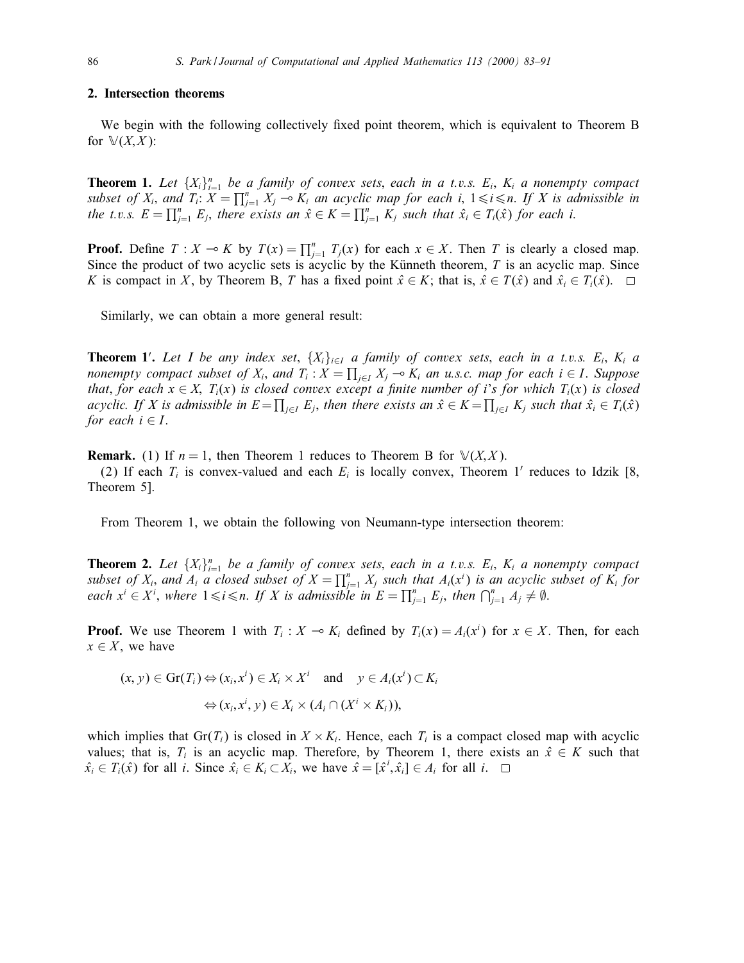#### 2. Intersection theorems

We begin with the following collectively fixed point theorem, which is equivalent to Theorem B for  $\mathbb{V}(X,X)$ :

**Theorem 1.** Let  $\{X_i\}_{i=1}^n$  be a family of convex sets, each in a t.v.s.  $E_i$ ,  $K_i$  a nonempty compact subset of  $X_i$ , and  $T_i: X = \prod_{j=1}^n X_j \multimap K_i$  an acyclic map for each i,  $1 \leq i \leq n$ . If X is admissible in the t.v.s.  $E = \prod_{j=1}^n E_j$ , there exists an  $\hat{x} \in K = \prod_{j=1}^n K_j$  such that  $\hat{x}_i \in T_i(\hat{x})$  for each i.

**Proof.** Define  $T : X \to K$  by  $T(x) = \prod_{j=1}^{n} T_j(x)$  for each  $x \in X$ . Then T is clearly a closed map. Since the product of two acyclic sets is acyclic by the Künneth theorem,  $T$  is an acyclic map. Since K is compact in X, by Theorem B, T has a fixed point  $\hat{x} \in K$ ; that is,  $\hat{x} \in T(\hat{x})$  and  $\hat{x}_i \in T_i(\hat{x})$ .  $\Box$ 

Similarly, we can obtain a more general result:

**Theorem 1'.** Let I be any index set,  $\{X_i\}_{i\in I}$  a family of convex sets, each in a t.v.s.  $E_i$ ,  $K_i$  a nonempty compact subset of  $X_i$ , and  $T_i$ :  $X = \prod_{j \in I} X_j \multimap K_i$  an u.s.c. map for each  $i \in I$ . Suppose that, for each  $x \in X$ ,  $T_i(x)$  is closed convex except a finite number of i's for which  $T_i(x)$  is closed acyclic. If X is admissible in  $E = \prod_{j\in I} E_j$ , then there exists an  $\hat x\in K = \prod_{j\in I} K_j$  such that  $\hat x_i\in T_i(\hat x)$ for each  $i \in I$ .

**Remark.** (1) If  $n = 1$ , then Theorem 1 reduces to Theorem B for  $\mathbb{V}(X,X)$ .

(2) If each  $T_i$  is convex-valued and each  $E_i$  is locally convex, Theorem 1' reduces to Idzik [8, Theorem 5].

From Theorem 1, we obtain the following von Neumann-type intersection theorem:

**Theorem 2.** Let  $\{X_i\}_{i=1}^n$  be a family of convex sets, each in a t.v.s.  $E_i$ ,  $K_i$  a nonempty compact subset of  $X_i$ , and  $A_i$  a closed subset of  $X = \prod_{j=1}^n X_j$  such that  $A_i(x^i)$  is an acyclic subset of  $K_i$  for each  $x^i \in X^i$ , where  $1 \leq i \leq n$ . If X is admissible in  $E = \prod_{j=1}^n E_j$ , then  $\bigcap_{j=1}^n A_j \neq \emptyset$ .

**Proof.** We use Theorem 1 with  $T_i : X \to K_i$  defined by  $T_i(x) = A_i(x^i)$  for  $x \in X$ . Then, for each  $x \in X$ , we have

$$
(x, y) \in \text{Gr}(T_i) \Leftrightarrow (x_i, x^i) \in X_i \times X^i \quad \text{and} \quad y \in A_i(x^i) \subset K_i
$$

$$
\Leftrightarrow (x_i, x^i, y) \in X_i \times (A_i \cap (X^i \times K_i)),
$$

which implies that Gr( $T_i$ ) is closed in  $X \times K_i$ . Hence, each  $T_i$  is a compact closed map with acyclic values; that is,  $T_i$  is an acyclic map. Therefore, by Theorem 1, there exists an  $\hat{x} \in K$  such that  $\hat{x}_i \in T_i(\hat{x})$  for all *i*. Since  $\hat{x}_i \in K_i \subset \hat{X}_i$ , we have  $\hat{x} = [\hat{x}^i, \hat{x}_i] \in A_i$  for all *i*.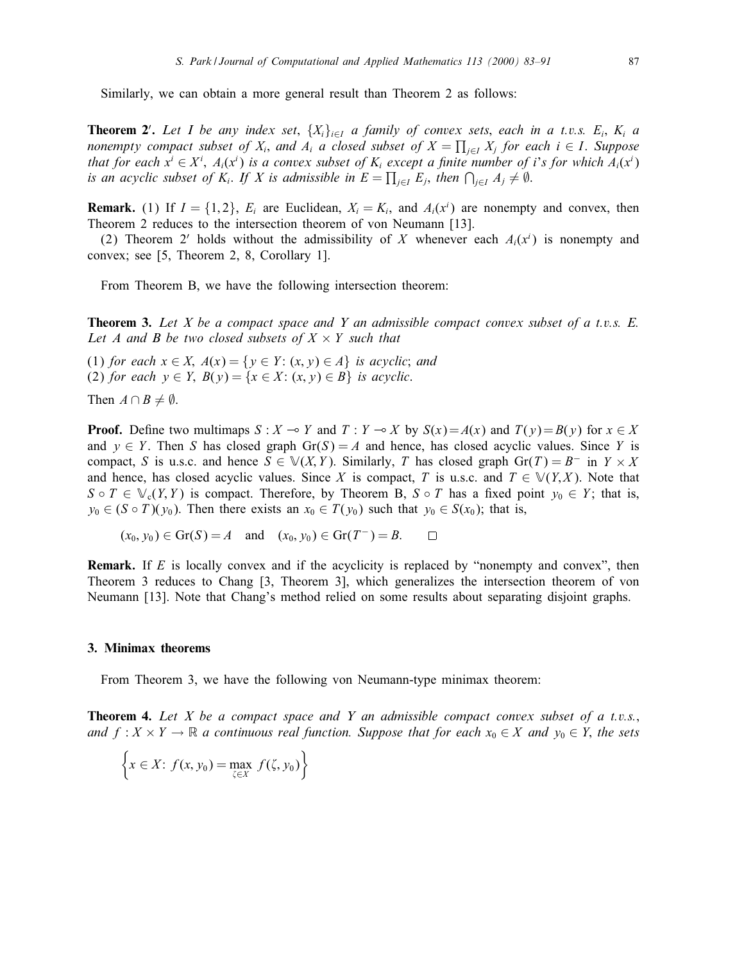Similarly, we can obtain a more general result than Theorem 2 as follows:

**Theorem 2'.** Let I be any index set,  $\{X_i\}_{i\in I}$  a family of convex sets, each in a t.v.s.  $E_i$ ,  $K_i$  a nonempty compact subset of  $X_i$ , and  $A_i$  a closed subset of  $X = \prod_{j \in I} X_j$  for each  $i \in I$ . Suppose that for each  $x^i \in X^i$ ,  $A_i(x^i)$  is a convex subset of  $K_i$  except a finite number of i's for which  $A_i(x^i)$ is an acyclic subset of  $K_i$ . If X is admissible in  $E = \prod_{j \in I} E_j$ , then  $\bigcap_{j \in I} A_j \neq \emptyset$ .

**Remark.** (1) If  $I = \{1, 2\}$ ,  $E_i$  are Euclidean,  $X_i = K_i$ , and  $A_i(x^i)$  are nonempty and convex, then Theorem 2 reduces to the intersection theorem of von Neumann [13].

(2) Theorem 2' holds without the admissibility of X whenever each  $A_i(x^i)$  is nonempty and convex; see [5, Theorem 2, 8, Corollary 1].

From Theorem B, we have the following intersection theorem:

**Theorem 3.** Let X be a compact space and Y an admissible compact convex subset of a t.v.s.  $E$ . Let A and B be two closed subsets of  $X \times Y$  such that

(1) for each  $x \in X$ ,  $A(x) = \{y \in Y : (x, y) \in A\}$  is acyclic; and (2) for each  $y \in Y$ ,  $B(y) = \{x \in X : (x, y) \in B\}$  is acyclic.

Then  $A \cap B \neq \emptyset$ .

**Proof.** Define two multimaps  $S : X \to Y$  and  $T : Y \to X$  by  $S(x) = A(x)$  and  $T(y) = B(y)$  for  $x \in X$ and  $y \in Y$ . Then S has closed graph Gr(S) = A and hence, has closed acyclic values. Since Y is compact, S is u.s.c. and hence  $S \in V(X, Y)$ . Similarly, T has closed graph  $Gr(T) = B^-$  in  $Y \times X$ and hence, has closed acyclic values. Since X is compact, T is u.s.c. and  $T \in V(Y,X)$ . Note that  $S \circ T \in \mathbb{V}_{c}(Y, Y)$  is compact. Therefore, by Theorem B,  $S \circ T$  has a fixed point  $y_0 \in Y$ ; that is,  $y_0 \in (S \circ T)(y_0)$ . Then there exists an  $x_0 \in T(y_0)$  such that  $y_0 \in S(x_0)$ ; that is,

 $(x_0, y_0) \in \text{Gr}(S) = A$  and  $(x_0, y_0) \in \text{Gr}(T^-) = B$ .  $\Box$ 

**Remark.** If  $E$  is locally convex and if the acyclicity is replaced by "nonempty and convex", then Theorem 3 reduces to Chang [3, Theorem 3], which generalizes the intersection theorem of von Neumann [13]. Note that Chang's method relied on some results about separating disjoint graphs.

#### 3. Minimax theorems

From Theorem 3, we have the following von Neumann-type minimax theorem:

**Theorem 4.** Let X be a compact space and Y an admissible compact convex subset of a t.v.s., and  $f: X \times Y \to \mathbb{R}$  a continuous real function. Suppose that for each  $x_0 \in X$  and  $y_0 \in Y$ , the sets

$$
\left\{x \in X: f(x, y_0) = \max_{\zeta \in X} f(\zeta, y_0)\right\}
$$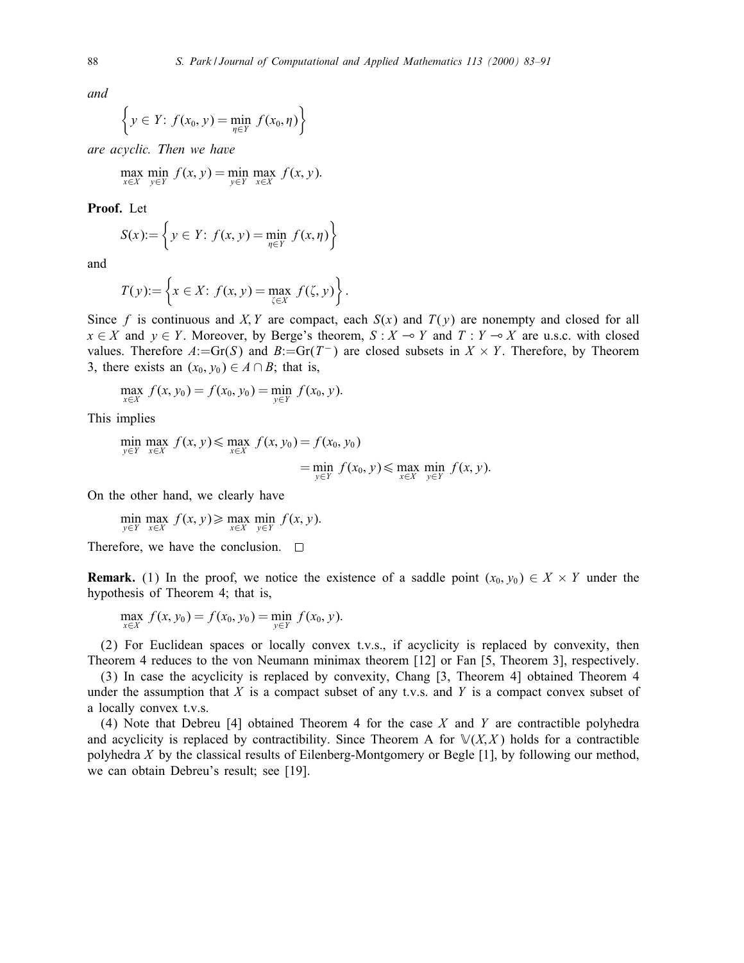and

$$
\left\{ y \in Y: f(x_0, y) = \min_{\eta \in Y} f(x_0, \eta) \right\}
$$

are acyclic. Then we have

$$
\max_{x \in X} \min_{y \in Y} f(x, y) = \min_{y \in Y} \max_{x \in X} f(x, y).
$$

Proof. Let

$$
S(x) := \left\{ y \in Y : f(x, y) = \min_{\eta \in Y} f(x, \eta) \right\}
$$

and

$$
T(y) := \left\{ x \in X : f(x, y) = \max_{\zeta \in X} f(\zeta, y) \right\}.
$$

Since f is continuous and X, Y are compact, each  $S(x)$  and  $T(y)$  are nonempty and closed for all  $x \in X$  and  $y \in Y$ . Moreover, by Berge's theorem,  $S : X \to Y$  and  $T : Y \to X$  are u.s.c. with closed values. Therefore  $A:=Gr(S)$  and  $B:=Gr(T^-)$  are closed subsets in  $X \times Y$ . Therefore, by Theorem 3, there exists an  $(x_0, y_0) \in A \cap B$ ; that is,

$$
\max_{x \in X} f(x, y_0) = f(x_0, y_0) = \min_{y \in Y} f(x_0, y).
$$

This implies

$$
\min_{y \in Y} \max_{x \in X} f(x, y) \le \max_{x \in X} f(x, y_0) = f(x_0, y_0)
$$
\n
$$
= \min_{y \in Y} f(x_0, y) \le \max_{x \in X} \min_{y \in Y} f(x, y).
$$

On the other hand, we clearly have

$$
\min_{y \in Y} \max_{x \in X} f(x, y) \ge \max_{x \in X} \min_{y \in Y} f(x, y).
$$

Therefore, we have the conclusion.  $\square$ 

**Remark.** (1) In the proof, we notice the existence of a saddle point  $(x_0, y_0) \in X \times Y$  under the hypothesis of Theorem 4; that is,

$$
\max_{x \in X} f(x, y_0) = f(x_0, y_0) = \min_{y \in Y} f(x_0, y).
$$

(2) For Euclidean spaces or locally convex t.v.s., if acyclicity is replaced by convexity, then Theorem 4 reduces to the von Neumann minimax theorem [12] or Fan [5, Theorem 3], respectively.

(3) In case the acyclicity is replaced by convexity, Chang [3, Theorem 4] obtained Theorem 4 under the assumption that  $X$  is a compact subset of any t.v.s. and  $Y$  is a compact convex subset of a locally convex t.v.s.

(4) Note that Debreu [4] obtained Theorem 4 for the case  $X$  and  $Y$  are contractible polyhedra and acyclicity is replaced by contractibility. Since Theorem A for  $\mathbb{V}(X,X)$  holds for a contractible polyhedra X by the classical results of Eilenberg-Montgomery or Begle [1], by following our method, we can obtain Debreu's result; see [19].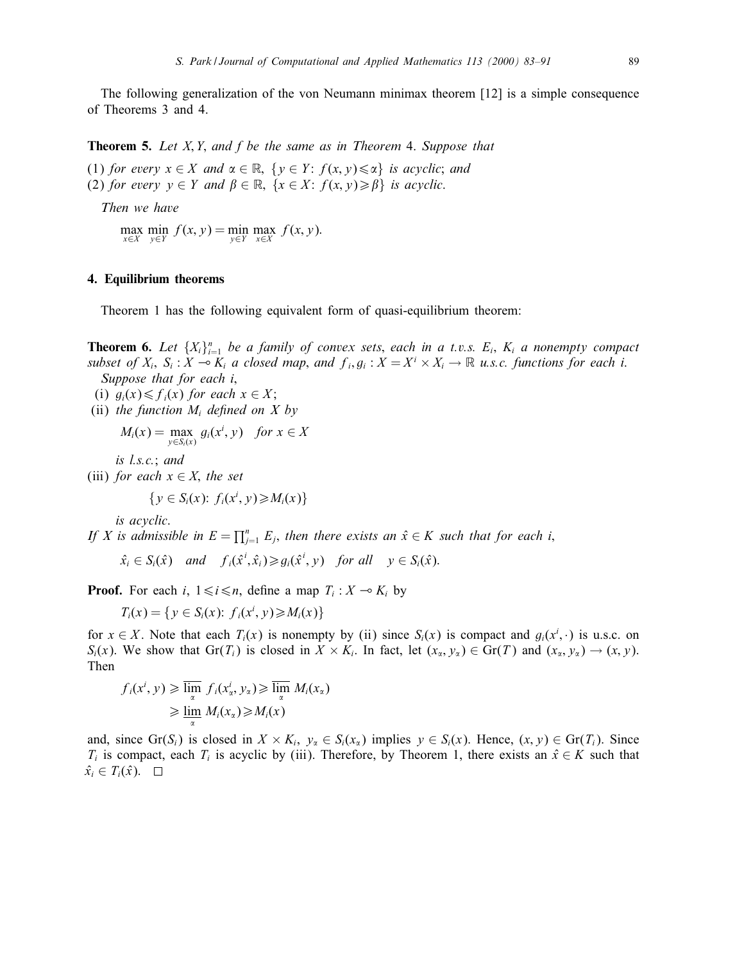The following generalization of the von Neumann minimax theorem [12] is a simple consequence of Theorems 3 and 4.

**Theorem 5.** Let  $X, Y$ , and  $f$  be the same as in Theorem 4. Suppose that

(1) for every  $x \in X$  and  $\alpha \in \mathbb{R}$ ,  $\{y \in Y : f(x, y) \leq \alpha\}$  is acyclic; and (2) for every  $y \in Y$  and  $\beta \in \mathbb{R}$ ,  $\{x \in X : f(x, y) \geq \beta\}$  is acyclic.

Then we have

 $\max_{x \in X} \min_{y \in Y} f(x, y) = \min_{y \in Y} \max_{x \in X} f(x, y).$ 

## 4. Equilibrium theorems

Theorem 1 has the following equivalent form of quasi-equilibrium theorem:

**Theorem 6.** Let  $\{X_i\}_{i=1}^n$  be a family of convex sets, each in a t.v.s.  $E_i$ ,  $K_i$  a nonempty compact subset of  $X_i$ ,  $S_i : X \to K_i$  a closed map, and  $f_i, g_i : X = X^i \times X_i \to \mathbb{R}$  u.s.c. functions for each i. Suppose that for each *i*,

(i)  $g_i(x) \leq f_i(x)$  for each  $x \in X$ ;

(ii) the function  $M_i$  defined on  $X$  by

$$
M_i(x) = \max_{y \in S_i(x)} g_i(x^i, y) \quad \text{for } x \in X
$$

is l.s.c.; and

(iii) for each  $x \in X$ , the set

$$
\{y \in S_i(x): f_i(x^i, y) \geq M_i(x)\}\
$$

is acyclic.

If X is admissible in  $E = \prod_{j=1}^{n} E_j$ , then there exists an  $\hat{x} \in K$  such that for each i,

 $\hat{x_i} \in S_i(\hat{x})$  and  $f_i(\hat{x}^i, \hat{x}_i) \geq g_i(\hat{x}^i, y)$  for all  $y \in S_i(\hat{x})$ .

**Proof.** For each i,  $1 \le i \le n$ , define a map  $T_i : X \to K_i$  by

 $T_i(x) = \{ y \in S_i(x) : f_i(x^i, y) \ge M_i(x) \}$ 

for  $x \in X$ . Note that each  $T_i(x)$  is nonempty by (ii) since  $S_i(x)$  is compact and  $g_i(x^i, \cdot)$  is u.s.c. on  $S_i(x)$ . We show that  $Gr(T_i)$  is closed in  $X \times K_i$ . In fact, let  $(x_2, y_2) \in Gr(T)$  and  $(x_2, y_2) \rightarrow (x, y)$ . Then

$$
f_i(x^i, y) \ge \lim_{\alpha} f_i(x^i, y_\alpha) \ge \lim_{\alpha} M_i(x_\alpha)
$$
  

$$
\ge \lim_{\alpha} M_i(x_\alpha) \ge M_i(x)
$$

and, since Gr(S<sub>i</sub>) is closed in  $X \times K_i$ ,  $y_\alpha \in S_i(x_\alpha)$  implies  $y \in S_i(x)$ . Hence,  $(x, y) \in Gr(T_i)$ . Since  $T_i$  is compact, each  $T_i$  is acyclic by (iii). Therefore, by Theorem 1, there exists an  $\hat{x} \in K$  such that  $\hat{x_i} \in T_i(\hat{x})$ .  $\Box$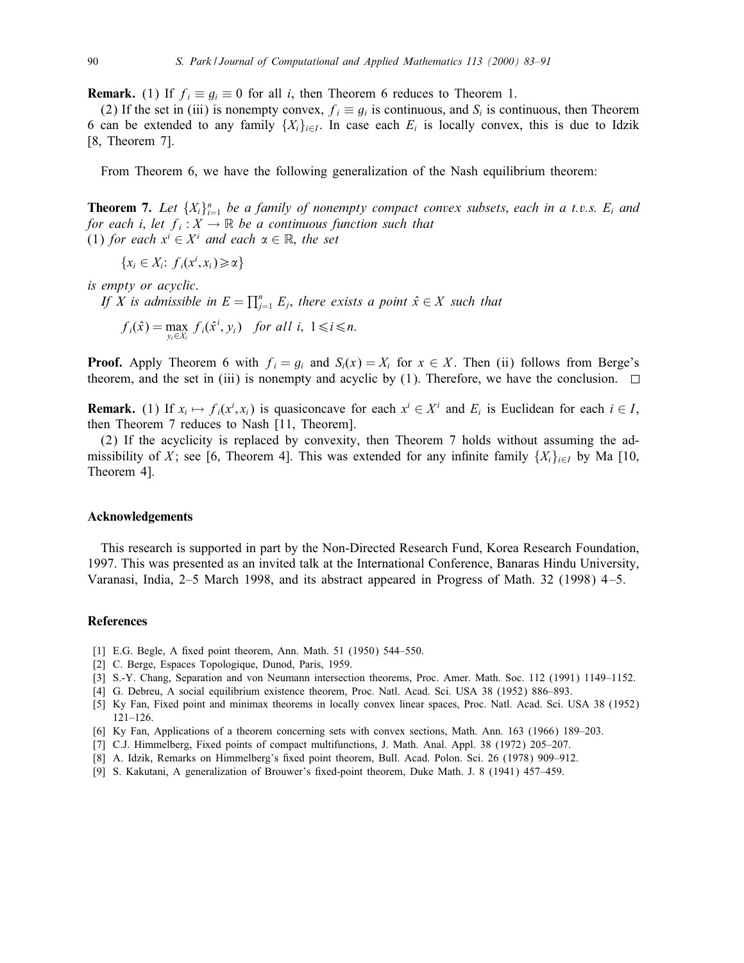**Remark.** (1) If  $f_i \equiv g_i \equiv 0$  for all i, then Theorem 6 reduces to Theorem 1.

(2) If the set in (iii) is nonempty convex,  $f_i \equiv g_i$  is continuous, and  $S_i$  is continuous, then Theorem 6 can be extended to any family  $\{X_i\}_{i\in I}$ . In case each  $E_i$  is locally convex, this is due to Idzik [8, Theorem 7].

From Theorem 6, we have the following generalization of the Nash equilibrium theorem:

**Theorem 7.** Let  $\{X_i\}_{i=1}^n$  be a family of nonempty compact convex subsets, each in a t.v.s.  $E_i$  and for each i, let  $f_i : X \to \mathbb{R}$  be a continuous function such that (1) for each  $x^i \in X^i$  and each  $\alpha \in \mathbb{R}$ , the set

 ${x_i \in X_i: f_i(x^i, x_i) \geq \alpha}$ 

is empty or acyclic.

If X is admissible in  $E = \prod_{j=1}^{n} E_j$ , there exists a point  $\hat{x} \in X$  such that

 $f_i(\hat{x}) = \max_{y_i \in X_i} f_i(\hat{x}^i, y_i)$  for all  $i, 1 \le i \le n$ .

**Proof.** Apply Theorem 6 with  $f_i = g_i$  and  $S_i(x) = X_i$  for  $x \in X$ . Then (ii) follows from Berge's theorem, and the set in (iii) is nonempty and acyclic by (1). Therefore, we have the conclusion.  $\square$ 

**Remark.** (1) If  $x_i \mapsto f_i(x^i, x_i)$  is quasiconcave for each  $x^i \in X^i$  and  $E_i$  is Euclidean for each  $i \in I$ , then Theorem 7 reduces to Nash [11, Theorem].

(2) If the acyclicity is replaced by convexity, then Theorem 7 holds without assuming the admissibility of X; see [6, Theorem 4]. This was extended for any infinite family  $\{X_i\}_{i\in I}$  by Ma [10, Theorem 4].

#### Acknowledgements

This research is supported in part by the Non-Directed Research Fund, Korea Research Foundation, 1997. This was presented as an invited talk at the International Conference, Banaras Hindu University, Varanasi, India, 2–5 March 1998, and its abstract appeared in Progress of Math. 32 (1998) 4 –5.

### References

- [1] E.G. Begle, A fixed point theorem, Ann. Math.  $51$  (1950) 544–550.
- [2] C. Berge, Espaces Topologique, Dunod, Paris, 1959.
- [3] S.-Y. Chang, Separation and von Neumann intersection theorems, Proc. Amer. Math. Soc. 112 (1991) 1149–1152.
- [4] G. Debreu, A social equilibrium existence theorem, Proc. Natl. Acad. Sci. USA 38 (1952) 886–893.
- [5] Ky Fan, Fixed point and minimax theorems in locally convex linear spaces, Proc. Natl. Acad. Sci. USA 38 (1952) 121–126.
- [6] Ky Fan, Applications of a theorem concerning sets with convex sections, Math. Ann. 163 (1966) 189–203.
- [7] C.J. Himmelberg, Fixed points of compact multifunctions, J. Math. Anal. Appl. 38 (1972) 205–207.
- [8] A. Idzik, Remarks on Himmelberg's fixed point theorem, Bull. Acad. Polon. Sci. 26 (1978) 909-912.
- [9] S. Kakutani, A generalization of Brouwer's fixed-point theorem, Duke Math. J. 8 (1941) 457-459.